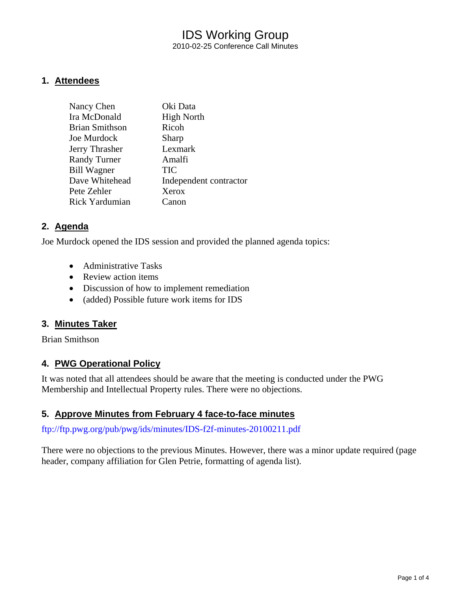### IDS Working Group 2010-02-25 Conference Call Minutes

#### **1. Attendees**

| Nancy Chen            | Oki Data               |
|-----------------------|------------------------|
| Ira McDonald          | <b>High North</b>      |
| <b>Brian Smithson</b> | Ricoh                  |
| Joe Murdock           | Sharp                  |
| Jerry Thrasher        | Lexmark                |
| <b>Randy Turner</b>   | Amalfi                 |
| <b>Bill Wagner</b>    | TIC                    |
| Dave Whitehead        | Independent contractor |
| Pete Zehler           | Xerox                  |
| Rick Yardumian        | Canon                  |

#### **2. Agenda**

Joe Murdock opened the IDS session and provided the planned agenda topics:

- Administrative Tasks
- Review action items
- Discussion of how to implement remediation
- (added) Possible future work items for IDS

#### **3. Minutes Taker**

Brian Smithson

#### **4. PWG Operational Policy**

It was noted that all attendees should be aware that the meeting is conducted under the PWG Membership and Intellectual Property rules. There were no objections.

#### **5. Approve Minutes from February 4 face-to-face minutes**

<ftp://ftp.pwg.org/pub/pwg/ids/minutes/IDS-f2f-minutes-20100211.pdf>

There were no objections to the previous Minutes. However, there was a minor update required (page header, company affiliation for Glen Petrie, formatting of agenda list).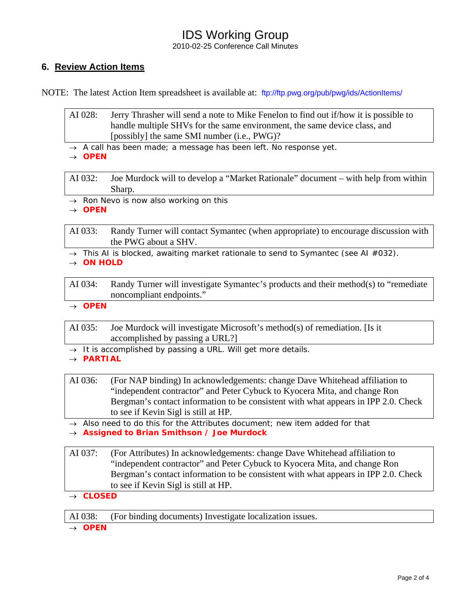# IDS Working Group

2010-02-25 Conference Call Minutes

### **6. Review Action Items**

NOTE: The latest Action Item spreadsheet is available at: <ftp://ftp.pwg.org/pub/pwg/ids/ActionItems/>

AI 028: Jerry Thrasher will send a note to Mike Fenelon to find out if/how it is possible to handle multiple SHVs for the same environment, the same device class, and [possibly] the same SMI number (i.e., PWG)?

→ *A call has been made; a message has been left. No response yet.* 

→ *OPEN* 

AI 032: Joe Murdock will to develop a "Market Rationale" document – with help from within Sharp.

→ *Ron Nevo is now also working on this*

→ *OPEN* 

AI 033: Randy Turner will contact Symantec (when appropriate) to encourage discussion with the PWG about a SHV.

- → *This AI is blocked, awaiting market rationale to send to Symantec (see AI #032).*
- → *ON HOLD*

AI 034: Randy Turner will investigate Symantec's products and their method(s) to "remediate noncompliant endpoints."

→ *OPEN* 

AI 035: Joe Murdock will investigate Microsoft's method(s) of remediation. [Is it accomplished by passing a URL?]

- → *It is accomplished by passing a URL. Will get more details.*
- → *PARTIAL*

AI 036: (For NAP binding) In acknowledgements: change Dave Whitehead affiliation to "independent contractor" and Peter Cybuck to Kyocera Mita, and change Ron Bergman's contact information to be consistent with what appears in IPP 2.0. Check to see if Kevin Sigl is still at HP.

→ *Also need to do this for the Attributes document; new item added for that* → *Assigned to Brian Smithson / Joe Murdock* 

AI 037: (For Attributes) In acknowledgements: change Dave Whitehead affiliation to "independent contractor" and Peter Cybuck to Kyocera Mita, and change Ron Bergman's contact information to be consistent with what appears in IPP 2.0. Check to see if Kevin Sigl is still at HP.

→ *CLOSED* 

AI 038: (For binding documents) Investigate localization issues.

→ *OPEN*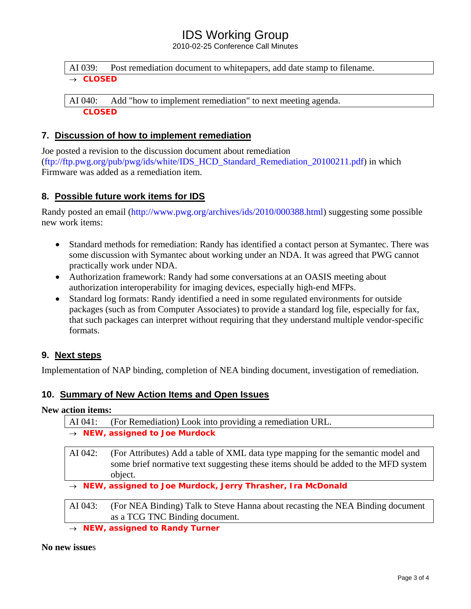# IDS Working Group

2010-02-25 Conference Call Minutes

AI 039: Post remediation document to whitepapers, add date stamp to filename. → *CLOSED* 

AI 040: Add "how to implement remediation" to next meeting agenda. *CLOSED* 

#### **7. Discussion of how to implement remediation**

Joe posted a revision to the discussion document about remediation ([ftp://ftp.pwg.org/pub/pwg/ids/white/IDS\\_HCD\\_Standard\\_Remediation\\_20100211.pdf\)](ftp://ftp.pwg.org/pub/pwg/ids/white/IDS_HCD_Standard_Remediation_20100211.pdf) in which Firmware was added as a remediation item.

#### **8. Possible future work items for IDS**

Randy posted an email (<http://www.pwg.org/archives/ids/2010/000388.html>) suggesting some possible new work items:

- Standard methods for remediation: Randy has identified a contact person at Symantec. There was some discussion with Symantec about working under an NDA. It was agreed that PWG cannot practically work under NDA.
- Authorization framework: Randy had some conversations at an OASIS meeting about authorization interoperability for imaging devices, especially high-end MFPs.
- Standard log formats: Randy identified a need in some regulated environments for outside packages (such as from Computer Associates) to provide a standard log file, especially for fax, that such packages can interpret without requiring that they understand multiple vendor-specific formats.

#### **9. Next steps**

Implementation of NAP binding, completion of NEA binding document, investigation of remediation.

#### **10. Summary of New Action Items and Open Issues**

#### **New action items:**

| AI 041:                                                                  | (For Remediation) Look into providing a remediation URL.                                                                                                                          |
|--------------------------------------------------------------------------|-----------------------------------------------------------------------------------------------------------------------------------------------------------------------------------|
| $\rightarrow$ NEW, assigned to Joe Murdock                               |                                                                                                                                                                                   |
| AI 042:                                                                  | (For Attributes) Add a table of XML data type mapping for the semantic model and<br>some brief normative text suggesting these items should be added to the MFD system<br>object. |
| $\rightarrow$ NEW, assigned to Joe Murdock, Jerry Thrasher, Ira McDonald |                                                                                                                                                                                   |
| AI 043:                                                                  | (For NEA Binding) Talk to Steve Hanna about recasting the NEA Binding document<br>as a TCG TNC Binding document.                                                                  |

*NEW, assigned to Randy Turner* 

#### **No new issue**s